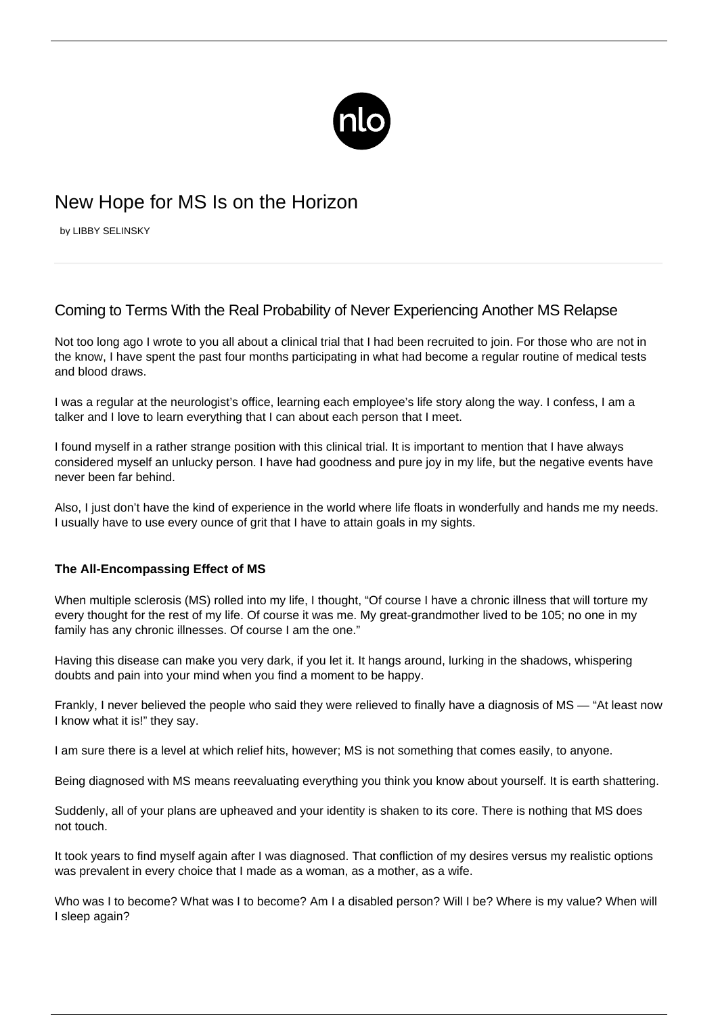

# New Hope for MS Is on the Horizon

by LIBBY SELINSKY

## Coming to Terms With the Real Probability of Never Experiencing Another MS Relapse

Not too long ago I wrote to you all about a [clinical trial that I had been recruited to join.](/participating-in-ms-clinical-trials/) For those who are not in the know, I have spent the past four months participating in what had become a regular routine of medical tests and blood draws.

I was a regular at the neurologist's office, learning each employee's life story along the way. I confess, I am a talker and I love to learn everything that I can about each person that I meet.

I found myself in a rather strange position with this clinical trial. It is important to mention that I have always considered myself an unlucky person. I have had goodness and pure joy in my life, but the negative events have never been far behind.

Also, I just don't have the kind of experience in the world where life floats in wonderfully and hands me my needs. I usually have to use every ounce of grit that I have to attain goals in my sights.

### **The All-Encompassing Effect of MS**

When multiple sclerosis (MS) rolled into my life, I thought, "Of course I have a chronic illness that will torture my every thought for the rest of my life. Of course it was me. My great-grandmother lived to be 105; no one in my family has any chronic illnesses. Of course I am the one."

Having this disease can make you very dark, if you let it. It hangs around, lurking in the shadows, whispering doubts and pain into your mind when you find a moment to be happy.

Frankly, I never believed the people who said they were relieved to finally have a diagnosis of MS — "At least now I know what it is!" they say.

I am sure there is a level at which relief hits, however; MS is not something that comes easily, to anyone.

Being diagnosed with MS means reevaluating everything you think you know about yourself. It is earth shattering.

Suddenly, all of your plans are upheaved and your identity is shaken to its core. There is nothing that MS does not touch.

It took years to find myself again after I was diagnosed. That confliction of my desires versus my realistic options was prevalent in every choice that I made as a woman, as a mother, as a wife.

Who was I to become? What was I to become? Am I a disabled person? Will I be? Where is my value? When will I sleep again?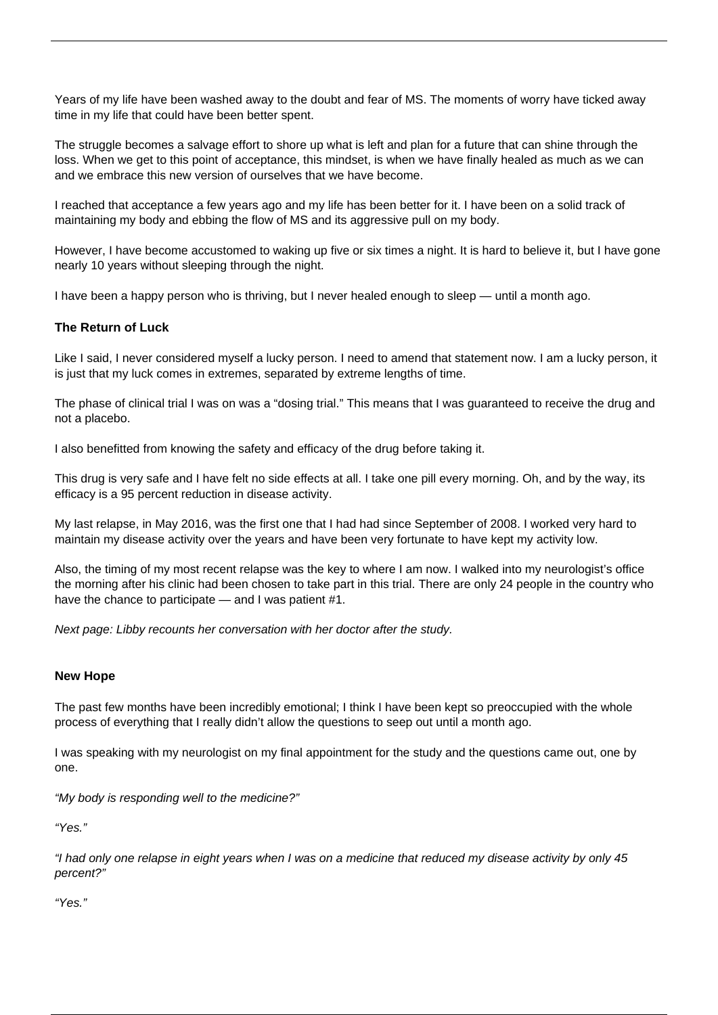Years of my life have been washed away to the doubt and fear of MS. The moments of worry have ticked away time in my life that could have been better spent.

The struggle becomes a salvage effort to shore up what is left and plan for a future that can shine through the loss. When we get to this point of acceptance, this mindset, is when we have finally healed as much as we can and we embrace this new version of ourselves that we have become.

I reached that acceptance a few years ago and my life has been better for it. I have been on a solid track of maintaining my body and ebbing the flow of MS and its aggressive pull on my body.

However, I have become accustomed to waking up five or six times a night. It is hard to believe it, but I have gone nearly 10 years without sleeping through the night.

I have been a happy person who is thriving, but I never healed enough to sleep — until a month ago.

### **The Return of Luck**

Like I said, I never considered myself a lucky person. I need to amend that statement now. I am a lucky person, it is just that my luck comes in extremes, separated by extreme lengths of time.

The phase of clinical trial I was on was a "dosing trial." This means that I was guaranteed to receive the drug and not a placebo.

I also benefitted from knowing the safety and efficacy of the drug before taking it.

This drug is very safe and I have felt no side effects at all. I take one pill every morning. Oh, and by the way, its efficacy is a 95 percent reduction in disease activity.

My last relapse, in May 2016, was the first one that I had had since September of 2008. I worked very hard to maintain my disease activity over the years and have been very fortunate to have kept my activity low.

Also, the timing of my most recent relapse was the key to where I am now. I walked into my neurologist's office the morning after his clinic had been chosen to take part in this trial. There are only 24 people in the country who have the chance to participate — and I was patient #1.

Next page: Libby recounts her conversation with her doctor after the study.

#### **New Hope**

The past few months have been incredibly emotional; I think I have been kept so preoccupied with the whole process of everything that I really didn't allow the questions to seep out until a month ago.

I was speaking with my neurologist on my final appointment for the study and the questions came out, one by one.

"My body is responding well to the medicine?"

"Yes."

"I had only one relapse in eight years when I was on a medicine that reduced my disease activity by only 45 percent?"

"Yes."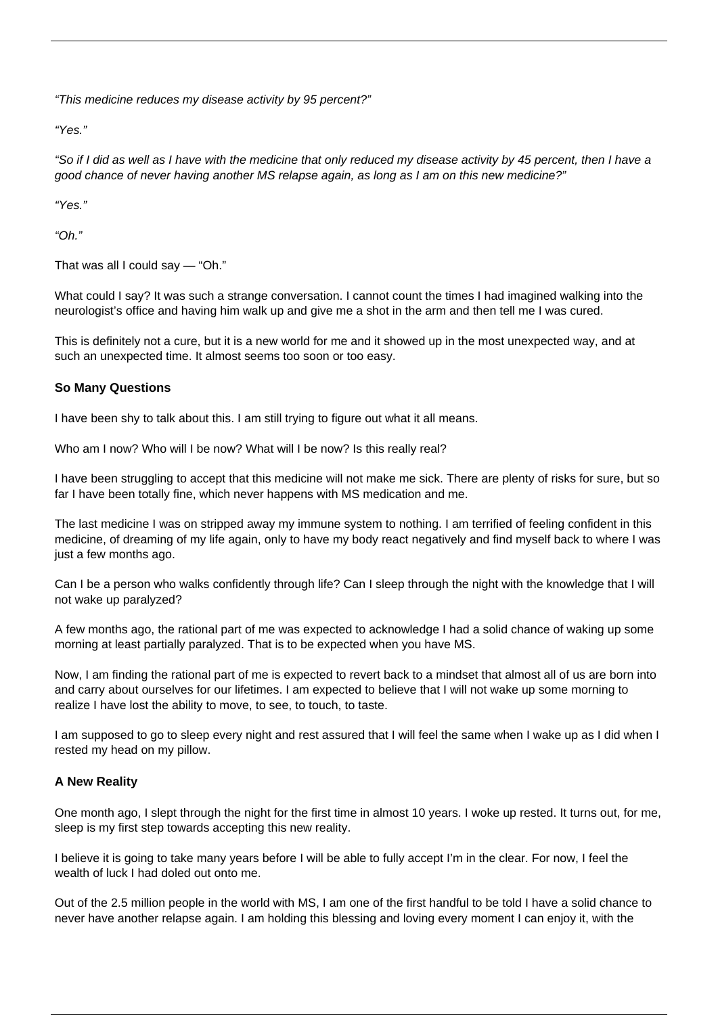"This medicine reduces my disease activity by 95 percent?"

"Yes."

"So if I did as well as I have with the medicine that only reduced my disease activity by 45 percent, then I have a good chance of never having another MS relapse again, as long as I am on this new medicine?"

"Yes."

" $Oh$ "

That was all I could say — "Oh."

What could I say? It was such a strange conversation. I cannot count the times I had imagined walking into the neurologist's office and having him walk up and give me a shot in the arm and then tell me I was cured.

This is definitely not a cure, but it is a new world for me and it showed up in the most unexpected way, and at such an unexpected time. It almost seems too soon or too easy.

### **So Many Questions**

I have been shy to talk about this. I am still trying to figure out what it all means.

Who am I now? Who will I be now? What will I be now? Is this really real?

I have been struggling to accept that this medicine will not make me sick. There are plenty of risks for sure, but so far I have been totally fine, which never happens with [MS medication](/ms-medication-side-effects/) and me.

The last medicine I was on stripped away my immune system to nothing. I am terrified of feeling confident in this medicine, of dreaming of my life again, only to have my body react negatively and find myself back to where I was just a few months ago.

Can I be a person who walks confidently through life? Can I sleep through the night with the knowledge that I will not wake up paralyzed?

A few months ago, the rational part of me was expected to acknowledge I had a solid chance of waking up some morning at least partially paralyzed. That is to be expected when you have MS.

Now, I am finding the rational part of me is expected to revert back to a mindset that almost all of us are born into and carry about ourselves for our lifetimes. I am expected to believe that I will not wake up some morning to realize I have lost the ability to move, to see, to touch, to taste.

I am supposed to go to sleep every night and rest assured that I will feel the same when I wake up as I did when I rested my head on my pillow.

### **A New Reality**

One month ago, I slept through the night for the first time in almost 10 years. I woke up rested. It turns out, for me, sleep is my first step towards accepting this new reality.

I believe it is going to take many years before I will be able to fully accept I'm in the clear. For now, I feel the wealth of luck I had doled out onto me.

Out of the 2.5 million people in the world with MS, I am one of the first handful to be told I have a solid chance to never have another relapse again. I am holding this blessing and loving every moment I can enjoy it, with the